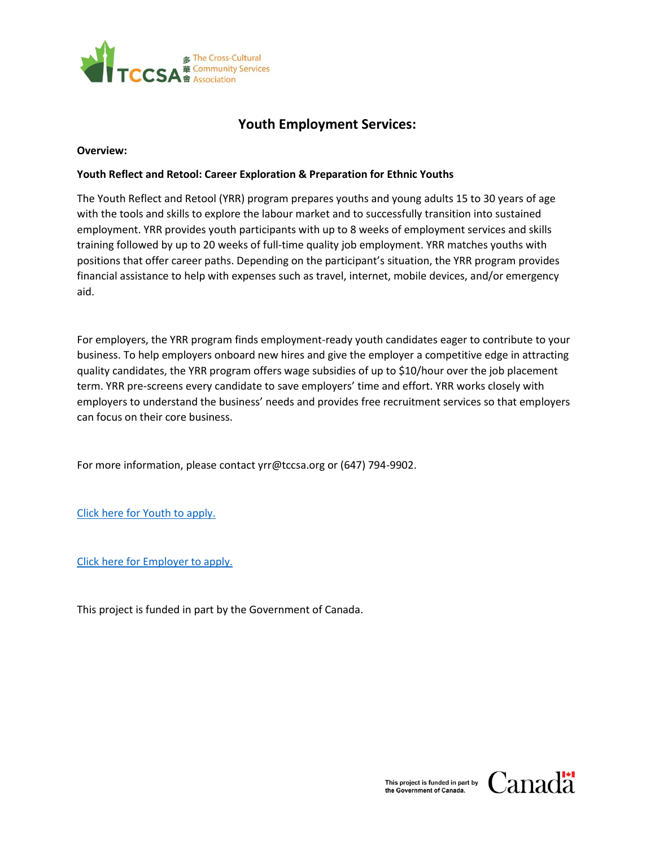

# **Youth Employment Services:**

#### **Overview:**

## **Youth Reflect and Retool: Career Exploration & Preparation for Ethnic Youths**

The Youth Reflect and Retool (YRR) program prepares youths and young adults 15 to 30 years of age with the tools and skills to explore the labour market and to successfully transition into sustained employment. YRR provides youth participants with up to 8 weeks of employment services and skills training followed by up to 20 weeks of full-time quality job employment. YRR matches youths with positions that offer career paths. Depending on the participant's situation, the YRR program provides financial assistance to help with expenses such as travel, internet, mobile devices, and/or emergency aid.

For employers, the YRR program finds employment-ready youth candidates eager to contribute to your business. To help employers onboard new hires and give the employer a competitive edge in attracting quality candidates, the YRR program offers wage subsidies of up to \$10/hour over the job placement term. YRR pre-screens every candidate to save employers' time and effort. YRR works closely with employers to understand the business' needs and provides free recruitment services so that employers can focus on their core business.

For more information, please contact yrr@tccsa.org or (647) 794-9902.

[Click here for Youth to apply.](https://docs.google.com/forms/d/e/1FAIpQLSciyT-Scl2C0NFfHv-zweq8RbroVPxYt59MsmYZKzMC87TVcA/viewform)

[Click here for Employer to apply.](https://docs.google.com/forms/d/e/1FAIpQLSdVl-hZk9_T6FHSHw50GUYM2sdEox2m-umFtlW9Gkyt5SINag/viewform)

This project is funded in part by the Government of Canada.

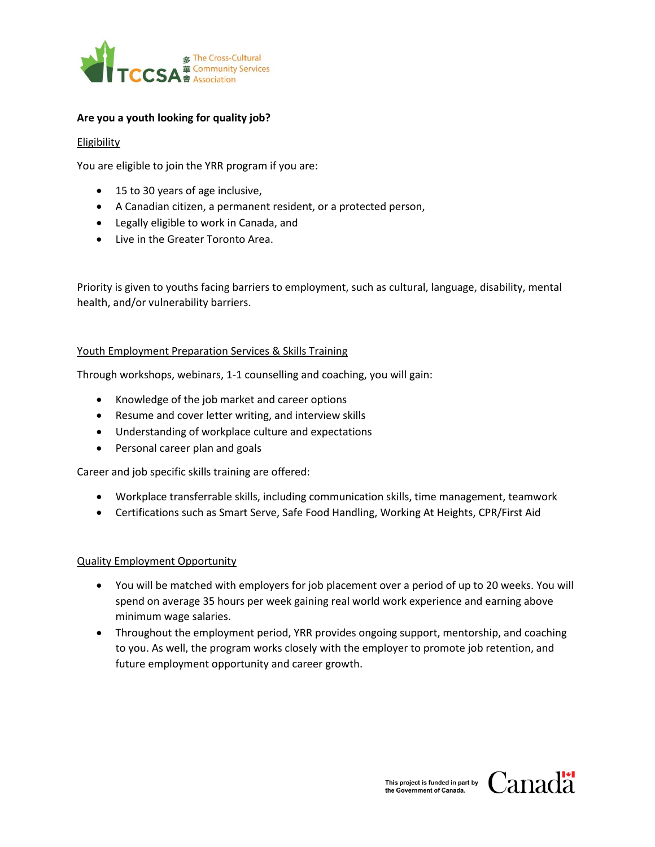

## **Are you a youth looking for quality job?**

#### **Eligibility**

You are eligible to join the YRR program if you are:

- 15 to 30 years of age inclusive,
- A Canadian citizen, a permanent resident, or a protected person,
- Legally eligible to work in Canada, and
- Live in the Greater Toronto Area.

Priority is given to youths facing barriers to employment, such as cultural, language, disability, mental health, and/or vulnerability barriers.

#### Youth Employment Preparation Services & Skills Training

Through workshops, webinars, 1-1 counselling and coaching, you will gain:

- Knowledge of the job market and career options
- Resume and cover letter writing, and interview skills
- Understanding of workplace culture and expectations
- Personal career plan and goals

Career and job specific skills training are offered:

- Workplace transferrable skills, including communication skills, time management, teamwork
- Certifications such as Smart Serve, Safe Food Handling, Working At Heights, CPR/First Aid

## Quality Employment Opportunity

- You will be matched with employers for job placement over a period of up to 20 weeks. You will spend on average 35 hours per week gaining real world work experience and earning above minimum wage salaries.
- Throughout the employment period, YRR provides ongoing support, mentorship, and coaching to you. As well, the program works closely with the employer to promote job retention, and future employment opportunity and career growth.